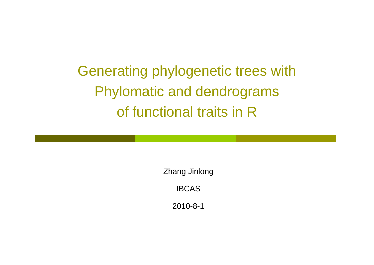Generating phylogenetic trees with Phylomatic and dendrograms of functional traits in R

> Zhang Jinlong IBCAS

> > 2010-8-1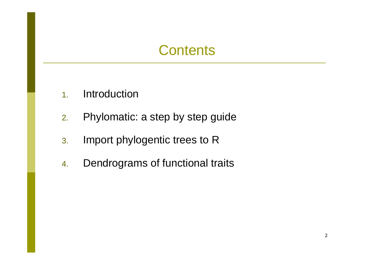## **Contents**

- 1.Introduction
- 2.Phylomatic: a step by step guide
- 3. Import phylogentic trees to R
- 4.Dendrograms of functional traits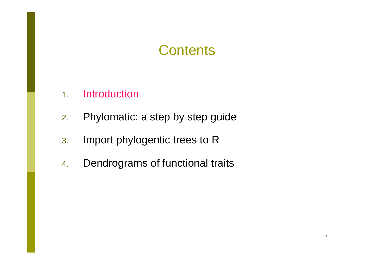### **Contents**

- 1.. Introduction
- 2.Phylomatic: a step by step guide
- 3. Import phylogentic trees to R
- 4.Dendrograms of functional traits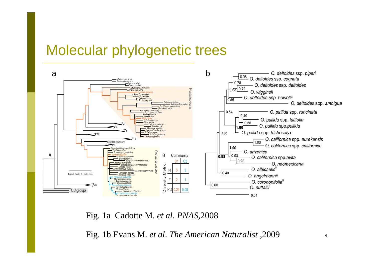### Molecular phylogenetic trees



Fig. 1a Cadotte M. *et al*. *PNAS,*2008

Fig. 1b Evans M. *et al*. *The American Naturalist* ,2009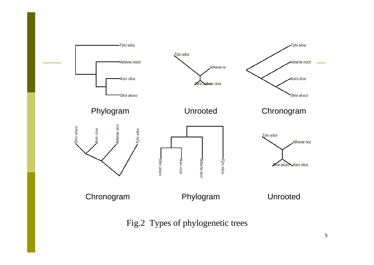

Fig.2 Types of phylogenetic trees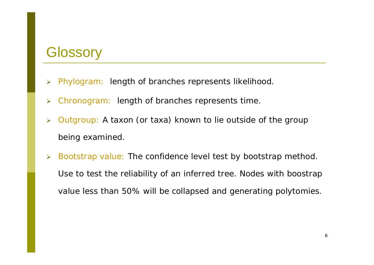### **Glossory**

- $\blacktriangleright$ Phylogram: length of branches represents likelihood.
- $\blacktriangleright$ Chronogram: length of branches represents time.
- $\blacktriangleright$  Outgroup: A taxon (or taxa) known to lie outside of the group being examined.
- $\blacktriangleright$  Bootstrap value: The confidence level test by bootstrap method. Use to test the reliability of an inferred tree. Nodes with boostrap value less than 50% will be collapsed and generating polytomies.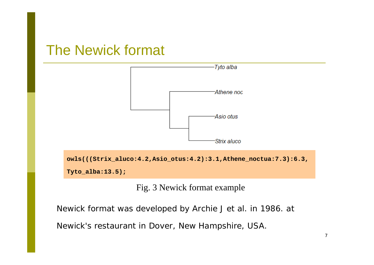### The Newick format



Fig. 3 Newick format example

Newick format was developed by Archie J *et al*. in 1986. at

Newick's restaurant in Dover, New Hampshire, USA.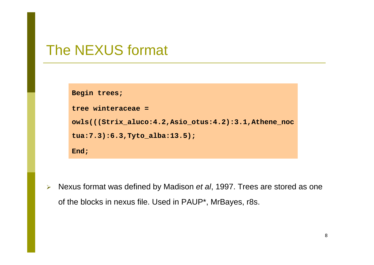### The NEXUS format

```
Begin trees;
tree winteraceae =owls(((Strix_aluco:4.2,Asio_otus:4.2):3.1,Athene_noc
tua:7.3):6.3,Tyto_alba:13.5);
End;
```
¾ Nexus format was defined by Madison *et al*, 1997. Trees are stored as one of the blocks in nexus file. Used in PAUP\*, MrBayes, r8s.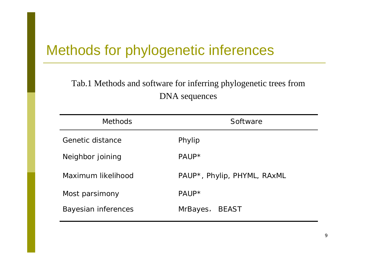## Methods for phylogenetic inferences

### Tab.1 Methods and software for inferring phylogenetic trees from DNA sequences

| <b>Methods</b>      | Software                    |  |  |
|---------------------|-----------------------------|--|--|
| Genetic distance    | Phylip                      |  |  |
| Neighbor joining    | PAUP*                       |  |  |
| Maximum likelihood  | PAUP*, Phylip, PHYML, RAxML |  |  |
| Most parsimony      | PAUP*                       |  |  |
| Bayesian inferences | MrBayes,<br>BEAST           |  |  |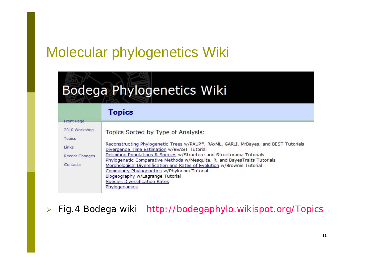## Molecular phylogenetics Wiki

# Bodega Phylogenetics Wiki

### **Topics**

| Topics Sorted by Type of Analysis:                                                                                                                                                                                  |
|---------------------------------------------------------------------------------------------------------------------------------------------------------------------------------------------------------------------|
|                                                                                                                                                                                                                     |
| Reconstructing Phylogenetic Trees w/PAUP*, RAxML, GARLI, MrBayes, and BEST Tutorials<br>Divergence Time Estimation w/BEAST Tutorial                                                                                 |
| Delimiting Populations & Species w/Structure and Structurama Tutorials<br>Phylogenetic Comparative Methods w/Mesquite, R, and BayesTraits Tutorials                                                                 |
| Morphological Diversification and Rates of Evolution w/Brownie Tutorial<br>Community Phylogenetics w/Phylocom Tutorial<br>Biogeography w/Lagrange Tutorial<br><b>Species Diversification Rates</b><br>Phylogenomics |
|                                                                                                                                                                                                                     |

 $\blacktriangleright$ Fig.4 Bodega wiki http://bodegaphylo.wikispot.org/Topics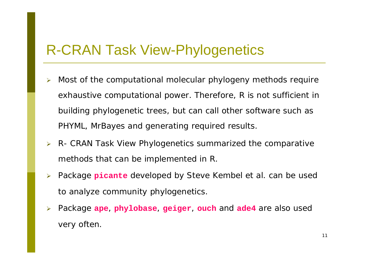### R-CRAN Task View-Phylogenetics

- $\blacktriangleright$  Most of the computational molecular phylogeny methods require exhaustive computational power. Therefore, R is not sufficient in building phylogenetic trees, but can call other software such as PHYML, MrBayes and generating required results.
- ¾ R- CRAN Task View Phylogenetics summarized the comparative methods that can be implemented in R.
- ¾ Package **picante** developed by Steve Kembel *et al*. can be used to analyze community phylogenetics.
- $\blacktriangleright$  Package **ape**, **phylobase**, **geiger**, **ouch** and **ade4** are also used very often.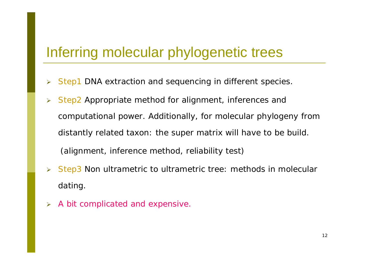### Inferring molecular phylogenetic trees

- $\blacktriangleright$ Step1 DNA extraction and sequencing in different species.
- $\blacktriangleright$  Step2 Appropriate method for alignment, inferences and computational power. Additionally, for molecular phylogeny from distantly related taxon: the super matrix will have to be build. (alignment, inference method, reliability test)
- $\blacktriangleright$  Step3 Non ultrametric to ultrametric tree: methods in molecular dating.
- ¾A bit complicated and expensive.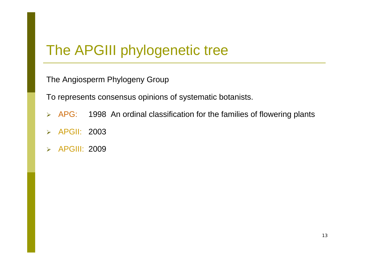### The APGIII phylogenetic tree

The Angiosperm Phylogeny Group

To represents consensus opinions of systematic botanists.

- **► APG:** 1998 An ordinal classification for the families of flowering plants
- $\blacktriangleright$ APGII: 2003
- $\blacktriangleright$ APGIII: 2009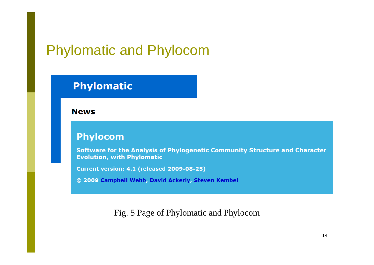### Phylomatic and Phylocom

### **Phylomatic**

**News** 

### **Phylocom**

Software for the Analysis of Phylogenetic Community Structure and Character **Evolution, with Phylomatic** 

Current version: 4.1 (released 2009-08-25)

© 2009 Campbell Webb, David Ackerly, Steven Kembel

Fig. 5 Page of Phylomatic and Phylocom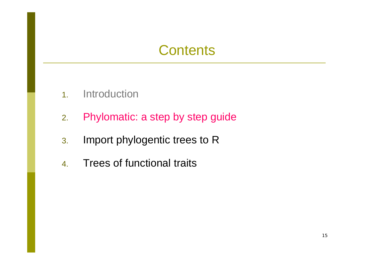### **Contents**

- 1.**Introduction**
- 2.Phylomatic: a step by step guide
- 3. Import phylogentic trees to R
- 4.Trees of functional traits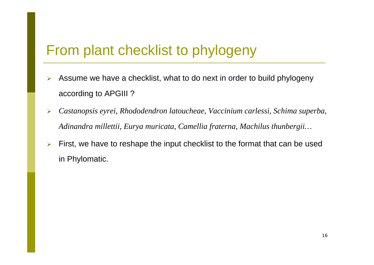### From plant checklist to phylogeny

- $\blacktriangleright$  Assume we have a checklist, what to do next in order to build phylogeny according to APGIII ?
- $\blacktriangleright$  *Castanopsis eyrei*, *Rhododendron latoucheae*, *Vaccinium carlessi*, *Schima superba*, *Adinandra millettii*, *Eurya muricata*, *Camellia fraterna*, *Machilus thunbergii…*
- $\blacktriangleright$  First, we have to reshape the input checklist to the format that can be used in Phylomatic.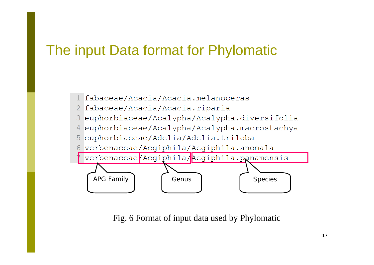## The input Data format for Phylomatic



- 2 fabaceae/Acacia/Acacia.riparia
- 3 euphorbiaceae/Acalypha/Acalypha.diversifolia
- euphorbiaceae/Acalypha/Acalypha.macrostachya  $\overline{4}$
- 5 euphorbiaceae/Adelia/Adelia.triloba
- 6 verbenaceae/Aegiphila/Aegiphila.anomala



Fig. 6 Format of input data used by Phylomatic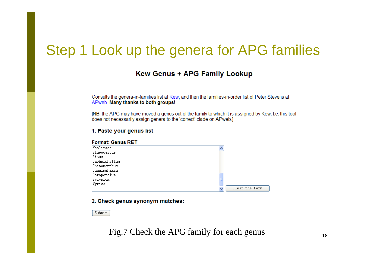### Step 1 Look up the genera for APG families

#### **Kew Genus + APG Family Lookup**

Consults the genera-in-families list at Kew, and then the families-in-order list of Peter Stevens at APweb. Many thanks to both groups!

[NB: the APG may have moved a genus out of the family to which it is assigned by Kew. I.e. this tool does not necessarily assign genera to the 'correct' clade on APweb.

#### **Format: Genus RET** Neolitsea Elaeocarpus Pinus Daphniphyllum Chimonanthus Cunninghamia Loropetalum Syzygium Myrica Clear the form

#### 2. Check genus synonym matches:

1. Paste your genus list

Submit

### Fig.7 Check the APG family for each genus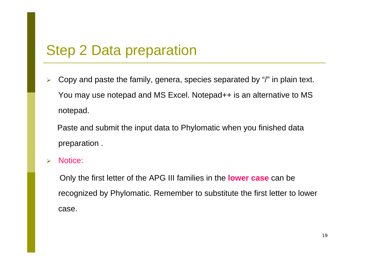### Step 2 Data preparation

 $\blacktriangleright$  Copy and paste the family, genera, species separated by "/" in plain text. You may use notepad and MS Excel. Notepad++ is an alternative to MS notepad.

Paste and submit the input data to Phylomatic when you finished data preparation .

 $\blacktriangleright$ Notice:

> Only the first letter of the APG III families in the **lower case** can be recognized by Phylomatic. Remember to substitute the first letter to lower case.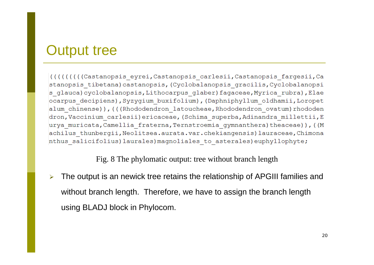### Output tree

((((((((Castanopsis eyrei, Castanopsis carlesii, Castanopsis fargesii, Ca stanopsis tibetana) castanopsis, (Cyclobalanopsis gracilis, Cyclobalanopsi s glauca) cyclobalanopsis, Lithocarpus glaber) fagaceae, Myrica rubra), Elae ocarpus decipiens), Syzyqium buxifolium), (Daphniphyllum oldhamii, Loropet alum chinense)), (((Rhododendron latoucheae, Rhododendron ovatum) rhododen dron, Vaccinium carlesii) ericaceae, (Schima superba, Adinandra millettii, E urya muricata, Camellia fraterna, Ternstroemia gymnanthera) theaceae)), ((M achilus thunbergii, Neolitsea.aurata.var.chekiangensis) lauraceae, Chimona nthus salicifolius) laurales) magnoliales to asterales) euphyllophyte;

Fig. 8 The phylomatic output: tree without branch length

¾ The output is an newick tree retains the relationship of APGIII families and without branch length. Therefore, we have to assign the branch length using BLADJ block in Phylocom.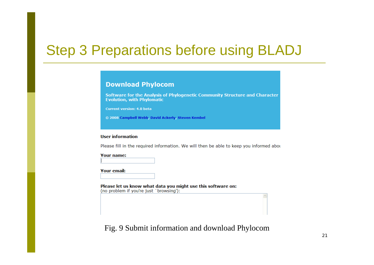### Step 3 Preparations before using BLADJ

#### **Download Phylocom**

Software for the Analysis of Phylogenetic Community Structure and Character **Evolution, with Phylomatic** 

**Current version: 4.0 beta** 

© 2008 Campbell Webb, David Ackerly, Steven Kembel

#### **User information**

Please fill in the required information. We will then be able to keep you informed about

**Your name:** 

**Your email:** 

Please let us know what data you might use this software on: (no problem if you're just `browsing'):

Fig. 9 Submit information and download Phylocom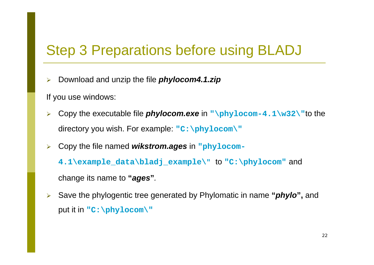### Step 3 Preparations before using BLADJ

 $\blacktriangleright$ Download and unzip the file *phylocom4.1.zip*

If you use windows:

- $\blacktriangleright$  Copy the executable file *phylocom.exe* in **"\phylocom-4.1\w32\"**to the directory you wish. For example: **"C:\phylocom\"**
- $\blacktriangleright$ Copy the file named *wikstrom.ages* in **"phylocom-**

**4.1\example\_data\bladj\_example\ "** to **"C:\phylocom"** and

change its name to **"***ages* **"***.*

 $\blacktriangleright$  Save the phylogentic tree generated by Phylomatic in name **"***phylo***",** and put it in **"C:\phylocom\"**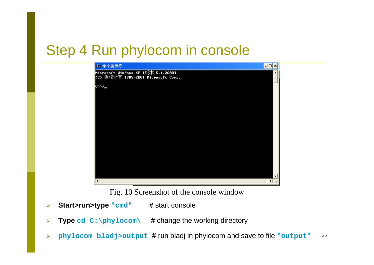### Step 4 Run phylocom in console



Fig. 10 Screenshot of the console window

- $\blacktriangleright$ **Start>run>type "cmd" #** start console
- $\blacktriangleright$ **Type cd C:\phylocom\ #** change the working directory
- 23 $\blacktriangleright$ **phylocom bladj>output #** run bladj in phylocom and save to file **"output"**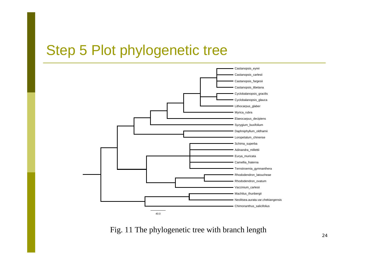### Step 5 Plot phylogenetic tree



Fig. 11 The phylogenetic tree with branch length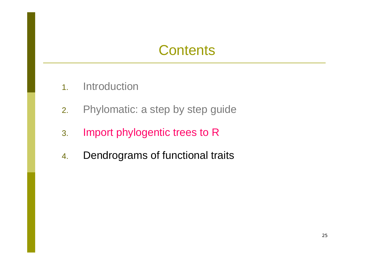## **Contents**

- 1.**Introduction**
- 2.Phylomatic: a step by step guide
- 3. Import phylogentic trees to R
- 4.Dendrograms of functional traits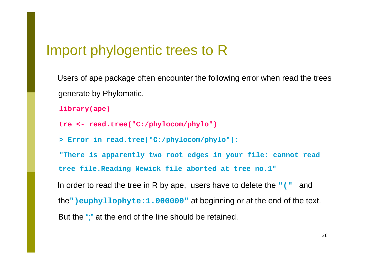### Import phylogentic trees to R

Users of ape package often encounter the following error when read the trees generate by Phylomatic.

```
library(ape)
```

```
tre <- read.tree("C:/phylocom/phylo")
```
**> Error in read.tree("C:/phylocom/phylo"):**

**"There is apparently two root edges in your file: cannot read tree file.Reading Newick file aborted at tree no.1"**

In order to read the tree in R by ape, users have to delete the **"("** and the**")euphyllophyte:1.000000"** at beginning or at the end of the text. But the ";" at the end of the line should be retained.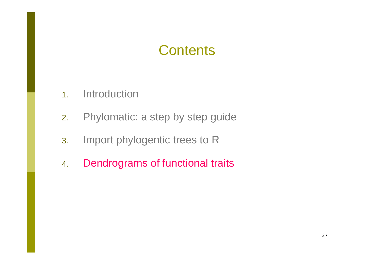### **Contents**

- 1.**Introduction**
- 2.Phylomatic: a step by step guide
- 3. Import phylogentic trees to R
- 4.Dendrograms of functional traits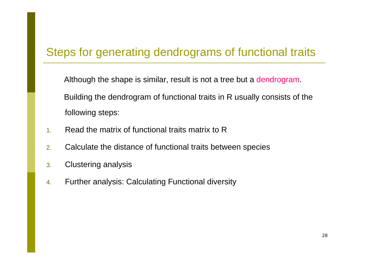### Steps for generating dendrograms of functional traits

Although the shape is similar, result is not a tree but a dendrogram. Building the dendrogram of functional traits in R usually consists of the following steps:

- 1.Read the matrix of functional traits matrix to R
- 2.Calculate the distance of functional traits between species
- 3.Clustering analysis
- 4.Further analysis: Calculating Functional diversity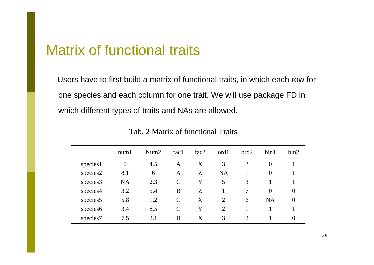### Matrix of functional traits

Users have to first build a matrix of functional traits, in which each row for one species and each column for one trait. We will use package FD in which different types of traits and NAs are allowed.

|                      | num1      | Num2 | fac1          | fac2 | ord1           | ord <sub>2</sub>            | bin1           | bin2           |
|----------------------|-----------|------|---------------|------|----------------|-----------------------------|----------------|----------------|
| species1             | 9         | 4.5  | A             | X    | 3              | $\overline{2}$              | $\overline{0}$ |                |
| species2             | 8.1       | 6    | A             | Z    | <b>NA</b>      |                             | $\overline{0}$ |                |
| species3             | <b>NA</b> | 2.3  | $\mathcal{C}$ | Y    | 5              | 3                           |                |                |
| species4             | 3.2       | 5.4  | B             | Z    |                | 7                           | $\theta$       | $\overline{0}$ |
| species <sub>5</sub> | 5.8       | 1.2  | $\mathcal{C}$ | X    | 2              | 6                           | <b>NA</b>      | $\theta$       |
| species6             | 3.4       | 8.5  | $\mathcal{C}$ | Y    | $\overline{2}$ |                             |                |                |
| species7             | 7.5       | 2.1  | B             | X    | 3              | $\mathcal{D}_{\mathcal{L}}$ |                | $\theta$       |

Tab. 2 Matrix of functional Traits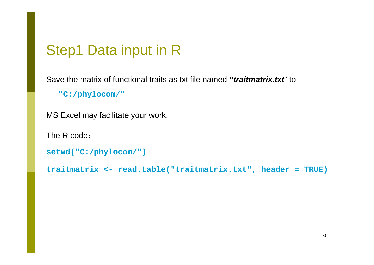### Step1 Data input in R

Save the matrix of functional traits as txt file named *"traitmatrix.txt*" to

**"C:/phylocom/"**

MS Excel may facilitate your work.

The R code:

```
setwd("C:/phylocom/")
```
**traitmatrix <- read.table("traitmatrix.txt", header = TRUE)**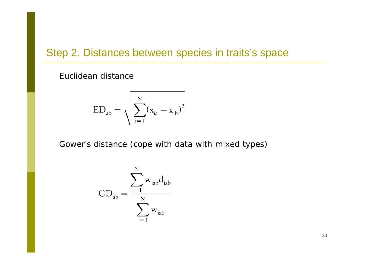### Step 2. Distances between species in traits's space

Euclidean distance

$$
ED_{ab} = \sqrt{\sum_{i=1}^{N} (x_{ia} - x_{ib})^2}
$$

Gower's distance (cope with data with mixed types)

$$
GD_{ab} = \frac{\displaystyle\sum_{i=1}^{N} w_{iab}d_{iab}}{\displaystyle\sum_{i=1}^{N} w_{iab}}
$$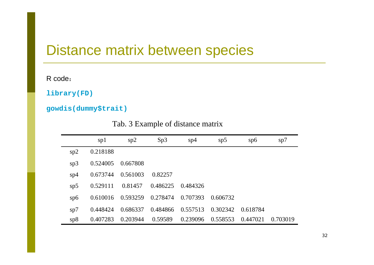### Distance matrix between species

R code:

**library(FD)**

**gowdis(dummy\$trait)**

Tab. 3 Example of distance matrix

|     | sp1      | sp2      | Sp3      | sp4      | sp5      | sp6      | sp7      |
|-----|----------|----------|----------|----------|----------|----------|----------|
| sp2 | 0.218188 |          |          |          |          |          |          |
| sp3 | 0.524005 | 0.667808 |          |          |          |          |          |
| sp4 | 0.673744 | 0.561003 | 0.82257  |          |          |          |          |
| sp5 | 0.529111 | 0.81457  | 0.486225 | 0.484326 |          |          |          |
| sp6 | 0.610016 | 0.593259 | 0.278474 | 0.707393 | 0.606732 |          |          |
| sp7 | 0.448424 | 0.686337 | 0.484866 | 0.557513 | 0.302342 | 0.618784 |          |
| sp8 | 0.407283 | 0.203944 | 0.59589  | 0.239096 | 0.558553 | 0.447021 | 0.703019 |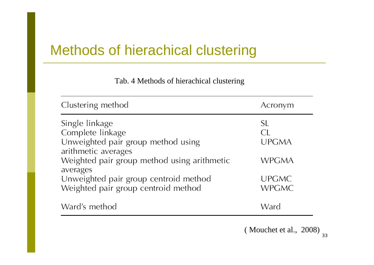## Methods of hierachical clustering

Tab. 4 Methods of hierachical clustering

| Clustering method                                                              | Acronym                      |
|--------------------------------------------------------------------------------|------------------------------|
| Single linkage<br>Complete linkage<br>Unweighted pair group method using       | SL<br>CL.<br><b>UPGMA</b>    |
| arithmetic averages<br>Weighted pair group method using arithmetic<br>averages | WPGMA                        |
| Unweighted pair group centroid method<br>Weighted pair group centroid method   | <b>UPGMC</b><br><b>WPGMC</b> |
| Ward's method                                                                  | Ward                         |

( Mouchet et al., 2008)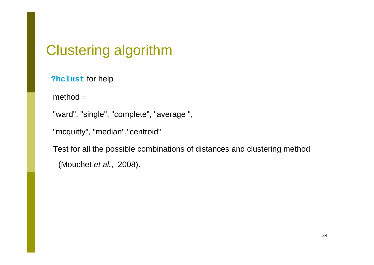### Clustering algorithm

**?hclust** for help

```
method =
```

```
"ward", "single", "complete", "average ",
```

```
"mcquitty", "median","centroid"
```
Test for all the possible combinations of distances and clustering method (Mouchet *et al.*, 2008).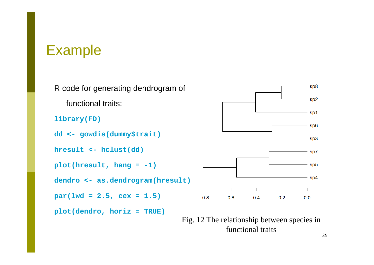### Example

R code for generating dendrogram of functional traits:**library(FD) dd <- gowdis(dummy\$trait) hresult <- hclust(dd) plot(hresult, hang = -1) dendro <- as.dendrogram(hresult)**  $par(lwd = 2.5, cex = 1.5)$ **plot(dendro, horiz = TRUE)**



Fig. 12 The relationship between species in functional traits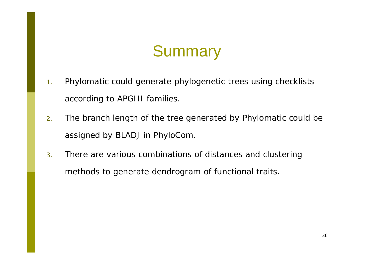## **Summary**

- 1. Phylomatic could generate phylogenetic trees using checklists according to APGIII families.
- 2. The branch length of the tree generated by Phylomatic could be assigned by BLADJ in PhyloCom.
- 3. There are various combinations of distances and clustering methods to generate dendrogram of functional traits.